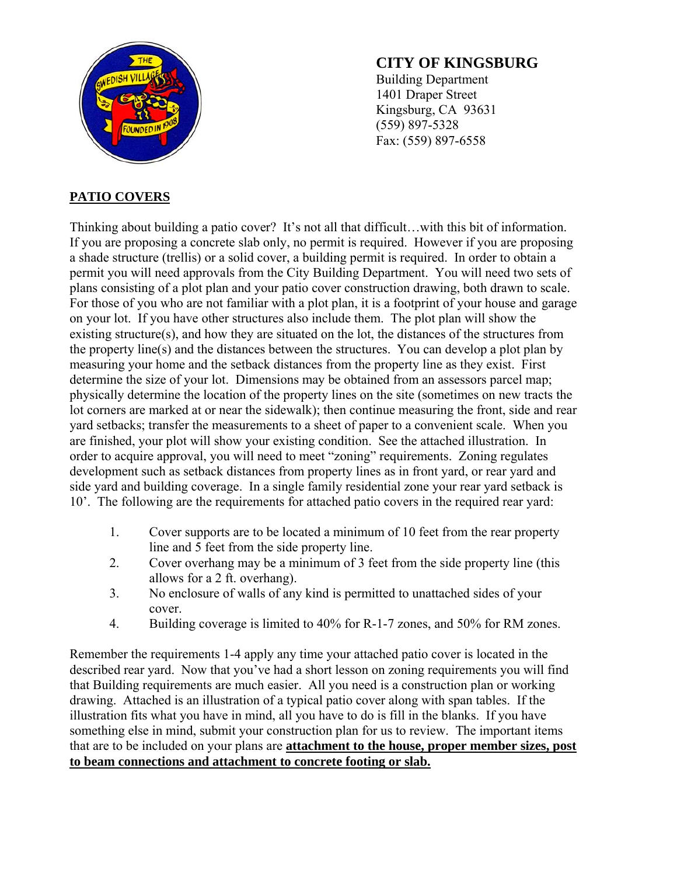

### **CITY OF KINGSBURG**

Building Department 1401 Draper Street Kingsburg, CA 93631 (559) 897-5328 Fax: (559) 897-6558

#### **PATIO COVERS**

Thinking about building a patio cover? It's not all that difficult…with this bit of information. If you are proposing a concrete slab only, no permit is required. However if you are proposing a shade structure (trellis) or a solid cover, a building permit is required. In order to obtain a permit you will need approvals from the City Building Department. You will need two sets of plans consisting of a plot plan and your patio cover construction drawing, both drawn to scale. For those of you who are not familiar with a plot plan, it is a footprint of your house and garage on your lot. If you have other structures also include them. The plot plan will show the existing structure(s), and how they are situated on the lot, the distances of the structures from the property line(s) and the distances between the structures. You can develop a plot plan by measuring your home and the setback distances from the property line as they exist. First determine the size of your lot. Dimensions may be obtained from an assessors parcel map; physically determine the location of the property lines on the site (sometimes on new tracts the lot corners are marked at or near the sidewalk); then continue measuring the front, side and rear yard setbacks; transfer the measurements to a sheet of paper to a convenient scale. When you are finished, your plot will show your existing condition. See the attached illustration. In order to acquire approval, you will need to meet "zoning" requirements. Zoning regulates development such as setback distances from property lines as in front yard, or rear yard and side yard and building coverage. In a single family residential zone your rear yard setback is 10'. The following are the requirements for attached patio covers in the required rear yard:

- 1. Cover supports are to be located a minimum of 10 feet from the rear property line and 5 feet from the side property line.
- 2. Cover overhang may be a minimum of 3 feet from the side property line (this allows for a 2 ft. overhang).
- 3. No enclosure of walls of any kind is permitted to unattached sides of your cover.
- 4. Building coverage is limited to 40% for R-1-7 zones, and 50% for RM zones.

Remember the requirements 1-4 apply any time your attached patio cover is located in the described rear yard. Now that you've had a short lesson on zoning requirements you will find that Building requirements are much easier. All you need is a construction plan or working drawing. Attached is an illustration of a typical patio cover along with span tables. If the illustration fits what you have in mind, all you have to do is fill in the blanks. If you have something else in mind, submit your construction plan for us to review. The important items that are to be included on your plans are **attachment to the house, proper member sizes, post to beam connections and attachment to concrete footing or slab.**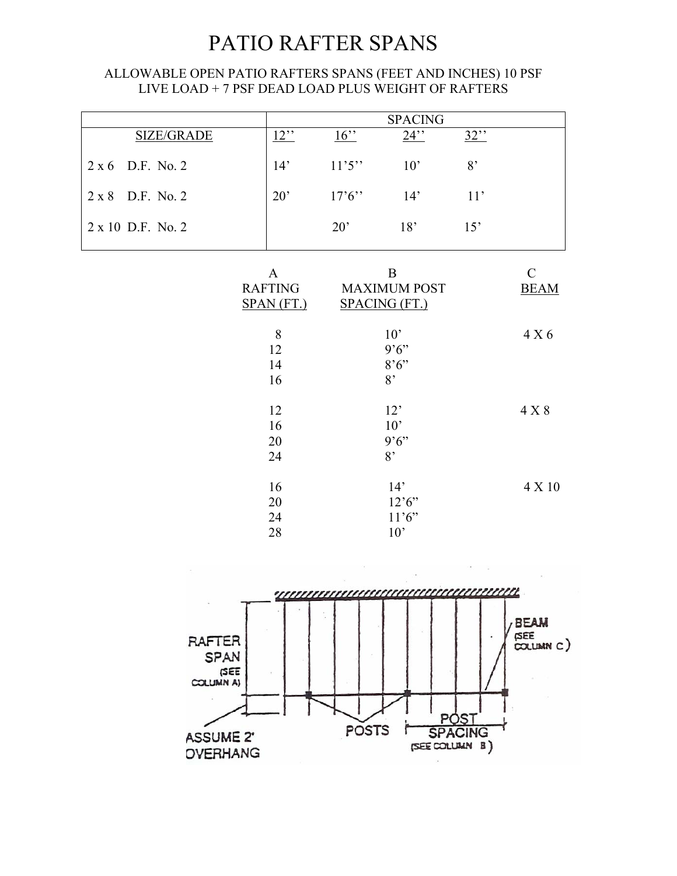## PATIO RAFTER SPANS

#### ALLOWABLE OPEN PATIO RAFTERS SPANS (FEET AND INCHES) 10 PSF LIVE LOAD + 7 PSF DEAD LOAD PLUS WEIGHT OF RAFTERS

|                            |                                              | <b>SPACING</b>                                          |                                |        |                              |
|----------------------------|----------------------------------------------|---------------------------------------------------------|--------------------------------|--------|------------------------------|
| <b>SIZE/GRADE</b>          | $12$ "                                       | $16$ "                                                  | $24$ "                         | $32$ " |                              |
| D.F. No. 2<br>$2 \times 6$ | 14'                                          | 11'5''                                                  | 10'                            | 8'     |                              |
| 2 x 8 D.F. No. 2           | 20'                                          | 17'6''                                                  | 14'                            | 11'    |                              |
| 2 x 10 D.F. No. 2          |                                              | $20^{\circ}$                                            | 18'                            | 15'    |                              |
|                            | $\mathbf{A}$<br><b>RAFTING</b><br>SPAN (FT.) | $\bf{B}$<br><b>MAXIMUM POST</b><br><b>SPACING (FT.)</b> |                                |        | $\mathcal{C}$<br><b>BEAM</b> |
|                            | 8<br>12<br>14<br>16                          | 10'<br>9'6''<br>$8.6$ "<br>8'                           |                                |        | 4 X 6                        |
|                            | 12<br>16<br>20<br>24                         |                                                         | 12'<br>10'<br>9'6''<br>8'      |        | 4 X 8                        |
|                            | 16<br>20<br>24<br>28                         |                                                         | 14'<br>12'6''<br>11'6''<br>10' |        | 4 X 10                       |

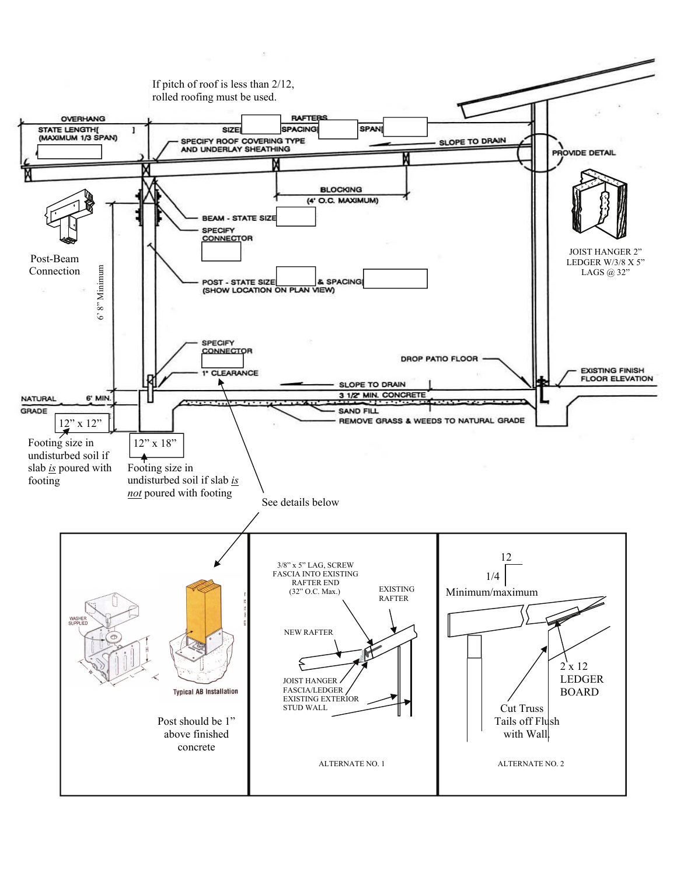